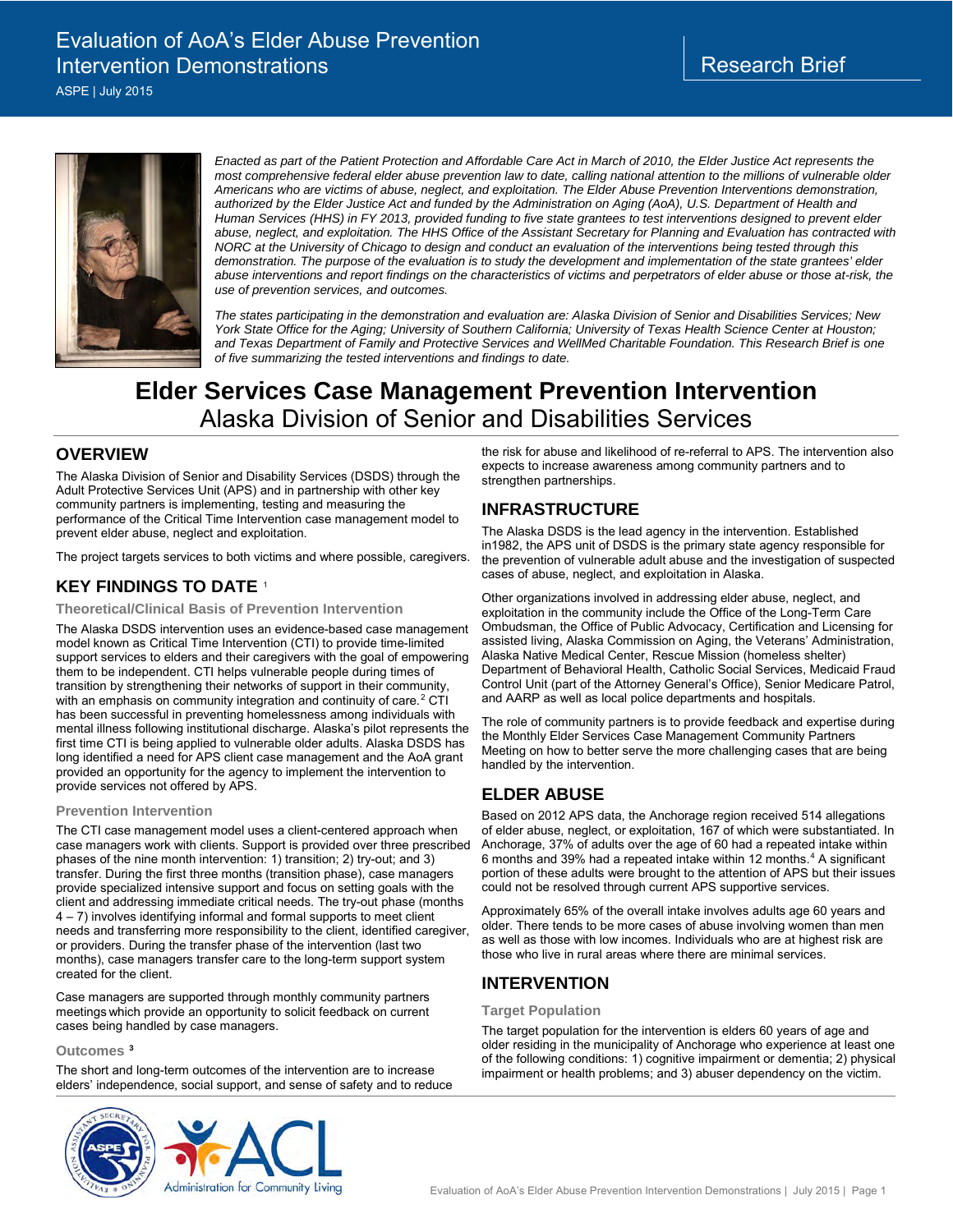ASPE | July 2015



*Enacted as part of the Patient Protection and Affordable Care Act in March of 2010, the Elder Justice Act represents the most comprehensive federal elder abuse prevention law to date, calling national attention to the millions of vulnerable older Americans who are victims of abuse, neglect, and exploitation. The Elder Abuse Prevention Interventions demonstration, authorized by the Elder Justice Act and funded by the Administration on Aging (AoA), U.S. Department of Health and Human Services (HHS) in FY 2013, provided funding to five state grantees to test interventions designed to prevent elder abuse, neglect, and exploitation. The HHS Office of the Assistant Secretary for Planning and Evaluation has contracted with NORC at the University of Chicago to design and conduct an evaluation of the interventions being tested through this*  demonstration. The purpose of the evaluation is to study the development and implementation of the state grantees' elder *abuse interventions and report findings on the characteristics of victims and perpetrators of elder abuse or those at-risk, the use of prevention services, and outcomes.* 

*The states participating in the demonstration and evaluation are: Alaska Division of Senior and Disabilities Services; New York State Office for the Aging; University of Southern California; University of Texas Health Science Center at Houston; and Texas Department of Family and Protective Services and WellMed Charitable Foundation. This Research Brief is one of five summarizing the tested interventions and findings to date.*

# **Elder Services Case Management Prevention Intervention**  Alaska Division of Senior and Disabilities Services

# **OVERVIEW**

The Alaska Division of Senior and Disability Services (DSDS) through the Adult Protective Services Unit (APS) and in partnership with other key community partners is implementing, testing and measuring the performance of the Critical Time Intervention case management model to prevent elder abuse, neglect and exploitation.

The project targets services to both victims and where possible, caregivers.

# **KEY FINDINGS TO DATE** [1](#page-1-0)

### **Theoretical/Clinical Basis of Prevention Intervention**

The Alaska DSDS intervention uses an evidence-based case management model known as Critical Time Intervention (CTI) to provide time-limited support services to elders and their caregivers with the goal of empowering them to be independent. CTI helps vulnerable people during times of transition by strengthening their networks of support in their community, with an emphasis on community integration and continuity of care.<sup>[2](#page-1-1)</sup> CTI has been successful in preventing homelessness among individuals with mental illness following institutional discharge. Alaska's pilot represents the first time CTI is being applied to vulnerable older adults. Alaska DSDS has long identified a need for APS client case management and the AoA grant provided an opportunity for the agency to implement the intervention to provide services not offered by APS.

### **Prevention Intervention**

The CTI case management model uses a client-centered approach when case managers work with clients. Support is provided over three prescribed phases of the nine month intervention: 1) transition; 2) try-out; and 3) transfer. During the first three months (transition phase), case managers provide specialized intensive support and focus on setting goals with the client and addressing immediate critical needs. The try-out phase (months 4 – 7) involves identifying informal and formal supports to meet client needs and transferring more responsibility to the client, identified caregiver, or providers. During the transfer phase of the intervention (last two months), case managers transfer care to the long-term support system created for the client.

Case managers are supported through monthly community partners meetings which provide an opportunity to solicit feedback on current cases being handled by case managers.

**Outcomes [3](#page-1-2)**

The short and long-term outcomes of the intervention are to increase elders' independence, social support, and sense of safety and to reduce





the risk for abuse and likelihood of re-referral to APS. The intervention also expects to increase awareness among community partners and to strengthen partnerships.

# **INFRASTRUCTURE**

The Alaska DSDS is the lead agency in the intervention. Established in1982, the APS unit of DSDS is the primary state agency responsible for the prevention of vulnerable adult abuse and the investigation of suspected cases of abuse, neglect, and exploitation in Alaska.

Other organizations involved in addressing elder abuse, neglect, and exploitation in the community include the Office of the Long-Term Care Ombudsman, the Office of Public Advocacy, Certification and Licensing for assisted living, Alaska Commission on Aging, the Veterans' Administration, Alaska Native Medical Center, Rescue Mission (homeless shelter) Department of Behavioral Health, Catholic Social Services, Medicaid Fraud Control Unit (part of the Attorney General's Office), Senior Medicare Patrol, and AARP as well as local police departments and hospitals.

The role of community partners is to provide feedback and expertise during the Monthly Elder Services Case Management Community Partners Meeting on how to better serve the more challenging cases that are being handled by the intervention.

# **ELDER ABUSE**

Based on 2012 APS data, the Anchorage region received 514 allegations of elder abuse, neglect, or exploitation, 167 of which were substantiated. In Anchorage, 37% of adults over the age of 60 had a repeated intake within 6 months and 39% had a repeated intake within 12 months.<sup>[4](#page-1-3)</sup> A significant portion of these adults were brought to the attention of APS but their issues could not be resolved through current APS supportive services.

Approximately 65% of the overall intake involves adults age 60 years and older. There tends to be more cases of abuse involving women than men as well as those with low incomes. Individuals who are at highest risk are those who live in rural areas where there are minimal services.

### **INTERVENTION**

### **Target Population**

The target population for the intervention is elders 60 years of age and older residing in the municipality of Anchorage who experience at least one of the following conditions: 1) cognitive impairment or dementia; 2) physical impairment or health problems; and 3) abuser dependency on the victim.